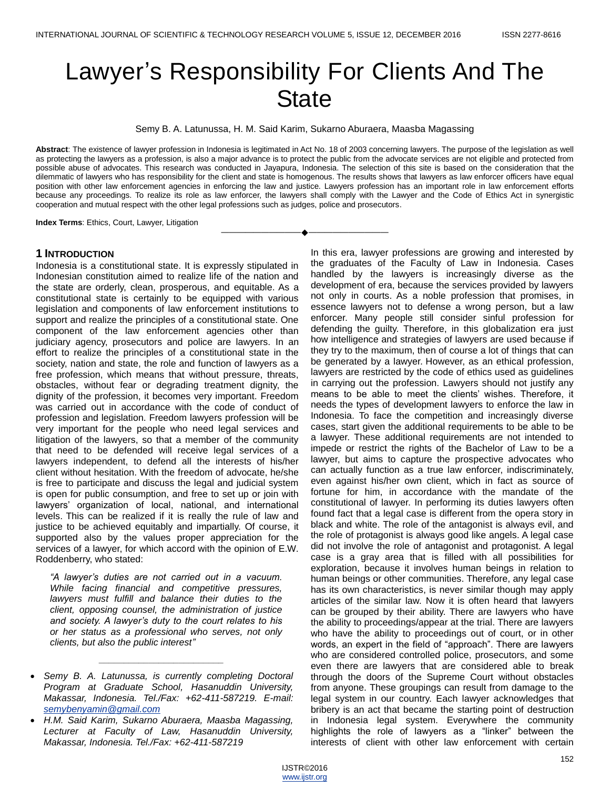# Lawyer's Responsibility For Clients And The **State**

Semy B. A. Latunussa, H. M. Said Karim, Sukarno Aburaera, Maasba Magassing

**Abstract**: The existence of lawyer profession in Indonesia is legitimated in Act No. 18 of 2003 concerning lawyers. The purpose of the legislation as well as protecting the lawyers as a profession, is also a major advance is to protect the public from the advocate services are not eligible and protected from possible abuse of advocates. This research was conducted in Jayapura, Indonesia. The selection of this site is based on the consideration that the dilemmatic of lawyers who has responsibility for the client and state is homogenous. The results shows that lawyers as law enforcer officers have equal position with other law enforcement agencies in enforcing the law and justice. Lawyers profession has an important role in law enforcement efforts because any proceedings. To realize its role as law enforcer, the lawyers shall comply with the Lawyer and the Code of Ethics Act in synergistic cooperation and mutual respect with the other legal professions such as judges, police and prosecutors.

————————————————————

**Index Terms**: Ethics, Court, Lawyer, Litigation

#### **1 INTRODUCTION**

Indonesia is a constitutional state. It is expressly stipulated in Indonesian constitution aimed to realize life of the nation and the state are orderly, clean, prosperous, and equitable. As a constitutional state is certainly to be equipped with various legislation and components of law enforcement institutions to support and realize the principles of a constitutional state. One component of the law enforcement agencies other than judiciary agency, prosecutors and police are lawyers. In an effort to realize the principles of a constitutional state in the society, nation and state, the role and function of lawyers as a free profession, which means that without pressure, threats, obstacles, without fear or degrading treatment dignity, the dignity of the profession, it becomes very important. Freedom was carried out in accordance with the code of conduct of profession and legislation. Freedom lawyers profession will be very important for the people who need legal services and litigation of the lawyers, so that a member of the community that need to be defended will receive legal services of a lawyers independent, to defend all the interests of his/her client without hesitation. With the freedom of advocate, he/she is free to participate and discuss the legal and judicial system is open for public consumption, and free to set up or join with lawyers' organization of local, national, and international levels. This can be realized if it is really the rule of law and justice to be achieved equitably and impartially. Of course, it supported also by the values proper appreciation for the services of a lawyer, for which accord with the opinion of E.W. Roddenberry, who stated:

*"A lawyer's duties are not carried out in a vacuum. While facing financial and competitive pressures, lawyers must fulfill and balance their duties to the client, opposing counsel, the administration of justice and society. A lawyer's duty to the court relates to his or her status as a professional who serves, not only clients, but also the public interest"*

*\_\_\_\_\_\_\_\_\_\_\_\_\_\_\_\_\_\_\_\_\_\_\_\_\_*

In this era, lawyer professions are growing and interested by the graduates of the Faculty of Law in Indonesia. Cases handled by the lawyers is increasingly diverse as the development of era, because the services provided by lawyers not only in courts. As a noble profession that promises, in essence lawyers not to defense a wrong person, but a law enforcer. Many people still consider sinful profession for defending the guilty. Therefore, in this globalization era just how intelligence and strategies of lawyers are used because if they try to the maximum, then of course a lot of things that can be generated by a lawyer. However, as an ethical profession, lawyers are restricted by the code of ethics used as guidelines in carrying out the profession. Lawyers should not justify any means to be able to meet the clients' wishes. Therefore, it needs the types of development lawyers to enforce the law in Indonesia. To face the competition and increasingly diverse cases, start given the additional requirements to be able to be a lawyer. These additional requirements are not intended to impede or restrict the rights of the Bachelor of Law to be a lawyer, but aims to capture the prospective advocates who can actually function as a true law enforcer, indiscriminately, even against his/her own client, which in fact as source of fortune for him, in accordance with the mandate of the constitutional of lawyer. In performing its duties lawyers often found fact that a legal case is different from the opera story in black and white. The role of the antagonist is always evil, and the role of protagonist is always good like angels. A legal case did not involve the role of antagonist and protagonist. A legal case is a gray area that is filled with all possibilities for exploration, because it involves human beings in relation to human beings or other communities. Therefore, any legal case has its own characteristics, is never similar though may apply articles of the similar law. Now it is often heard that lawyers can be grouped by their ability. There are lawyers who have the ability to proceedings/appear at the trial. There are lawyers who have the ability to proceedings out of court, or in other words, an expert in the field of "approach". There are lawyers who are considered controlled police, prosecutors, and some even there are lawyers that are considered able to break through the doors of the Supreme Court without obstacles from anyone. These groupings can result from damage to the legal system in our country. Each lawyer acknowledges that bribery is an act that became the starting point of destruction in Indonesia legal system. Everywhere the community highlights the role of lawyers as a "linker" between the interests of client with other law enforcement with certain

*Semy B. A. Latunussa, is currently completing Doctoral Program at Graduate School, Hasanuddin University, Makassar, Indonesia. Tel./Fax: +62-411-587219. E-mail: [semybenyamin@gmail.com](mailto:semybenyamin@gmail.com)*

*H.M. Said Karim, Sukarno Aburaera, Maasba Magassing, Lecturer at Faculty of Law, Hasanuddin University, Makassar, Indonesia. Tel./Fax: +62-411-587219*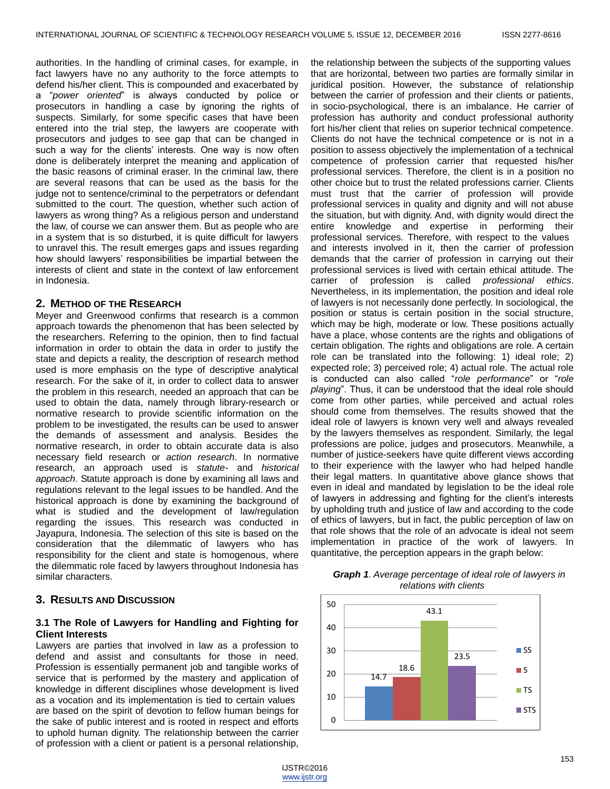authorities. In the handling of criminal cases, for example, in fact lawyers have no any authority to the force attempts to defend his/her client. This is compounded and exacerbated by a "*power oriented*" is always conducted by police or prosecutors in handling a case by ignoring the rights of suspects. Similarly, for some specific cases that have been entered into the trial step, the lawyers are cooperate with prosecutors and judges to see gap that can be changed in such a way for the clients' interests. One way is now often done is deliberately interpret the meaning and application of the basic reasons of criminal eraser. In the criminal law, there are several reasons that can be used as the basis for the judge not to sentence/criminal to the perpetrators or defendant submitted to the court. The question, whether such action of lawyers as wrong thing? As a religious person and understand the law, of course we can answer them. But as people who are in a system that is so disturbed, it is quite difficult for lawyers to unravel this. The result emerges gaps and issues regarding how should lawyers' responsibilities be impartial between the interests of client and state in the context of law enforcement in Indonesia.

### **2. METHOD OF THE RESEARCH**

Meyer and Greenwood confirms that research is a common approach towards the phenomenon that has been selected by the researchers. Referring to the opinion, then to find factual information in order to obtain the data in order to justify the state and depicts a reality, the description of research method used is more emphasis on the type of descriptive analytical research. For the sake of it, in order to collect data to answer the problem in this research, needed an approach that can be used to obtain the data, namely through library-research or normative research to provide scientific information on the problem to be investigated, the results can be used to answer the demands of assessment and analysis. Besides the normative research, in order to obtain accurate data is also necessary field research or *action research*. In normative research, an approach used is *statute-* and *historical approach*. Statute approach is done by examining all laws and regulations relevant to the legal issues to be handled. And the historical approach is done by examining the background of what is studied and the development of law/regulation regarding the issues. This research was conducted in Jayapura, Indonesia. The selection of this site is based on the consideration that the dilemmatic of lawyers who has responsibility for the client and state is homogenous, where the dilemmatic role faced by lawyers throughout Indonesia has similar characters.

# **3. RESULTS AND DISCUSSION**

### **3.1 The Role of Lawyers for Handling and Fighting for Client Interests**

Lawyers are parties that involved in law as a profession to defend and assist and consultants for those in need. Profession is essentially permanent job and tangible works of service that is performed by the mastery and application of knowledge in different disciplines whose development is lived as a vocation and its implementation is tied to certain values are based on the spirit of devotion to fellow human beings for the sake of public interest and is rooted in respect and efforts to uphold human dignity. The relationship between the carrier of profession with a client or patient is a personal relationship,

the relationship between the subjects of the supporting values that are horizontal, between two parties are formally similar in juridical position. However, the substance of relationship between the carrier of profession and their clients or patients, in socio-psychological, there is an imbalance. He carrier of profession has authority and conduct professional authority fort his/her client that relies on superior technical competence. Clients do not have the technical competence or is not in a position to assess objectively the implementation of a technical competence of profession carrier that requested his/her professional services. Therefore, the client is in a position no other choice but to trust the related professions carrier. Clients must trust that the carrier of profession will provide professional services in quality and dignity and will not abuse the situation, but with dignity. And, with dignity would direct the entire knowledge and expertise in performing their professional services. Therefore, with respect to the values and interests involved in it, then the carrier of profession demands that the carrier of profession in carrying out their professional services is lived with certain ethical attitude. The carrier of profession is called *professional ethics*. Nevertheless, in its implementation, the position and ideal role of lawyers is not necessarily done perfectly. In sociological, the position or status is certain position in the social structure, which may be high, moderate or low. These positions actually have a place, whose contents are the rights and obligations of certain obligation. The rights and obligations are role. A certain role can be translated into the following: 1) ideal role; 2) expected role; 3) perceived role; 4) actual role. The actual role is conducted can also called "*role performance*" or "*role playing*". Thus, it can be understood that the ideal role should come from other parties, while perceived and actual roles should come from themselves. The results showed that the ideal role of lawyers is known very well and always revealed by the lawyers themselves as respondent. Similarly, the legal professions are police, judges and prosecutors. Meanwhile, a number of justice-seekers have quite different views according to their experience with the lawyer who had helped handle their legal matters. In quantitative above glance shows that even in ideal and mandated by legislation to be the ideal role of lawyers in addressing and fighting for the client's interests by upholding truth and justice of law and according to the code of ethics of lawyers, but in fact, the public perception of law on that role shows that the role of an advocate is ideal not seem implementation in practice of the work of lawyers. In quantitative, the perception appears in the graph below:



#### *Graph 1. Average percentage of ideal role of lawyers in relations with clients*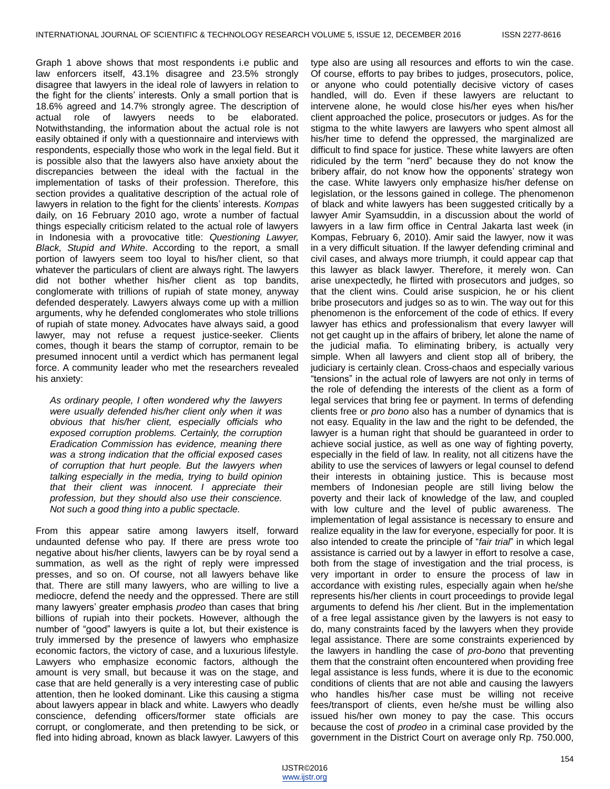Graph 1 above shows that most respondents i.e public and law enforcers itself, 43.1% disagree and 23.5% strongly disagree that lawyers in the ideal role of lawyers in relation to the fight for the clients' interests. Only a small portion that is 18.6% agreed and 14.7% strongly agree. The description of actual role of lawyers needs to be elaborated. Notwithstanding, the information about the actual role is not easily obtained if only with a questionnaire and interviews with respondents, especially those who work in the legal field. But it is possible also that the lawyers also have anxiety about the discrepancies between the ideal with the factual in the implementation of tasks of their profession. Therefore, this section provides a qualitative description of the actual role of lawyers in relation to the fight for the clients' interests. *Kompas* daily, on 16 February 2010 ago, wrote a number of factual things especially criticism related to the actual role of lawyers in Indonesia with a provocative title: *Questioning Lawyer, Black, Stupid and White*. According to the report, a small portion of lawyers seem too loyal to his/her client, so that whatever the particulars of client are always right. The lawyers did not bother whether his/her client as top bandits, conglomerate with trillions of rupiah of state money, anyway defended desperately. Lawyers always come up with a million arguments, why he defended conglomerates who stole trillions of rupiah of state money. Advocates have always said, a good lawyer, may not refuse a request justice-seeker. Clients comes, though it bears the stamp of corruptor, remain to be presumed innocent until a verdict which has permanent legal force. A community leader who met the researchers revealed his anxiety:

*As ordinary people, I often wondered why the lawyers were usually defended his/her client only when it was obvious that his/her client, especially officials who exposed corruption problems. Certainly, the corruption Eradication Commission has evidence, meaning there was a strong indication that the official exposed cases of corruption that hurt people. But the lawyers when talking especially in the media, trying to build opinion that their client was innocent. I appreciate their profession, but they should also use their conscience. Not such a good thing into a public spectacle.*

From this appear satire among lawyers itself, forward undaunted defense who pay. If there are press wrote too negative about his/her clients, lawyers can be by royal send a summation, as well as the right of reply were impressed presses, and so on. Of course, not all lawyers behave like that. There are still many lawyers, who are willing to live a mediocre, defend the needy and the oppressed. There are still many lawyers' greater emphasis *prodeo* than cases that bring billions of rupiah into their pockets. However, although the number of "good" lawyers is quite a lot, but their existence is truly immersed by the presence of lawyers who emphasize economic factors, the victory of case, and a luxurious lifestyle. Lawyers who emphasize economic factors, although the amount is very small, but because it was on the stage, and case that are held generally is a very interesting case of public attention, then he looked dominant. Like this causing a stigma about lawyers appear in black and white. Lawyers who deadly conscience, defending officers/former state officials are corrupt, or conglomerate, and then pretending to be sick, or fled into hiding abroad, known as black lawyer. Lawyers of this

type also are using all resources and efforts to win the case. Of course, efforts to pay bribes to judges, prosecutors, police, or anyone who could potentially decisive victory of cases handled, will do. Even if these lawyers are reluctant to intervene alone, he would close his/her eyes when his/her client approached the police, prosecutors or judges. As for the stigma to the white lawyers are lawyers who spent almost all his/her time to defend the oppressed, the marginalized are difficult to find space for justice. These white lawyers are often ridiculed by the term "nerd" because they do not know the bribery affair, do not know how the opponents' strategy won the case. White lawyers only emphasize his/her defense on legislation, or the lessons gained in college. The phenomenon of black and white lawyers has been suggested critically by a lawyer Amir Syamsuddin, in a discussion about the world of lawyers in a law firm office in Central Jakarta last week (in Kompas, February 6, 2010). Amir said the lawyer, now it was in a very difficult situation. If the lawyer defending criminal and civil cases, and always more triumph, it could appear cap that this lawyer as black lawyer. Therefore, it merely won. Can arise unexpectedly, he flirted with prosecutors and judges, so that the client wins. Could arise suspicion, he or his client bribe prosecutors and judges so as to win. The way out for this phenomenon is the enforcement of the code of ethics. If every lawyer has ethics and professionalism that every lawyer will not get caught up in the affairs of bribery, let alone the name of the judicial mafia. To eliminating bribery, is actually very simple. When all lawyers and client stop all of bribery, the judiciary is certainly clean. Cross-chaos and especially various "tensions" in the actual role of lawyers are not only in terms of the role of defending the interests of the client as a form of legal services that bring fee or payment. In terms of defending clients free or *pro bono* also has a number of dynamics that is not easy. Equality in the law and the right to be defended, the lawyer is a human right that should be guaranteed in order to achieve social justice, as well as one way of fighting poverty, especially in the field of law. In reality, not all citizens have the ability to use the services of lawyers or legal counsel to defend their interests in obtaining justice. This is because most members of Indonesian people are still living below the poverty and their lack of knowledge of the law, and coupled with low culture and the level of public awareness. The implementation of legal assistance is necessary to ensure and realize equality in the law for everyone, especially for poor. It is also intended to create the principle of "*fair trial*" in which legal assistance is carried out by a lawyer in effort to resolve a case, both from the stage of investigation and the trial process, is very important in order to ensure the process of law in accordance with existing rules, especially again when he/she represents his/her clients in court proceedings to provide legal arguments to defend his /her client. But in the implementation of a free legal assistance given by the lawyers is not easy to do, many constraints faced by the lawyers when they provide legal assistance. There are some constraints experienced by the lawyers in handling the case of *pro-bono* that preventing them that the constraint often encountered when providing free legal assistance is less funds, where it is due to the economic conditions of clients that are not able and causing the lawyers who handles his/her case must be willing not receive fees/transport of clients, even he/she must be willing also issued his/her own money to pay the case. This occurs because the cost of *prodeo* in a criminal case provided by the government in the District Court on average only Rp. 750.000,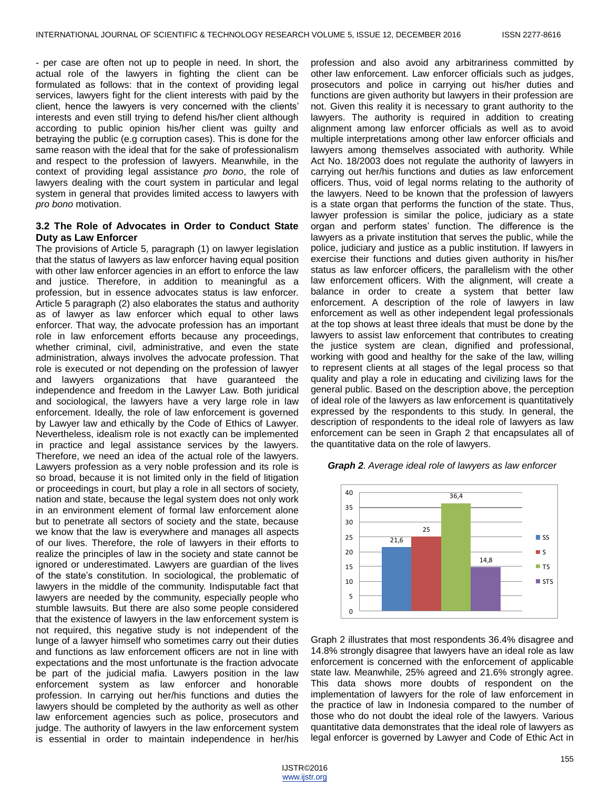- per case are often not up to people in need. In short, the actual role of the lawyers in fighting the client can be formulated as follows: that in the context of providing legal services, lawyers fight for the client interests with paid by the client, hence the lawyers is very concerned with the clients' interests and even still trying to defend his/her client although according to public opinion his/her client was guilty and betraying the public (e.g corruption cases). This is done for the same reason with the ideal that for the sake of professionalism and respect to the profession of lawyers. Meanwhile, in the context of providing legal assistance *pro bono*, the role of lawyers dealing with the court system in particular and legal system in general that provides limited access to lawyers with *pro bono* motivation.

#### **3.2 The Role of Advocates in Order to Conduct State Duty as Law Enforcer**

The provisions of Article 5, paragraph (1) on lawyer legislation that the status of lawyers as law enforcer having equal position with other law enforcer agencies in an effort to enforce the law and justice. Therefore, in addition to meaningful as a profession, but in essence advocates status is law enforcer. Article 5 paragraph (2) also elaborates the status and authority as of lawyer as law enforcer which equal to other laws enforcer. That way, the advocate profession has an important role in law enforcement efforts because any proceedings, whether criminal, civil, administrative, and even the state administration, always involves the advocate profession. That role is executed or not depending on the profession of lawyer and lawyers organizations that have guaranteed the independence and freedom in the Lawyer Law. Both juridical and sociological, the lawyers have a very large role in law enforcement. Ideally, the role of law enforcement is governed by Lawyer law and ethically by the Code of Ethics of Lawyer. Nevertheless, idealism role is not exactly can be implemented in practice and legal assistance services by the lawyers. Therefore, we need an idea of the actual role of the lawyers. Lawyers profession as a very noble profession and its role is so broad, because it is not limited only in the field of litigation or proceedings in court, but play a role in all sectors of society, nation and state, because the legal system does not only work in an environment element of formal law enforcement alone but to penetrate all sectors of society and the state, because we know that the law is everywhere and manages all aspects of our lives. Therefore, the role of lawyers in their efforts to realize the principles of law in the society and state cannot be ignored or underestimated. Lawyers are guardian of the lives of the state's constitution. In sociological, the problematic of lawyers in the middle of the community. Indisputable fact that lawyers are needed by the community, especially people who stumble lawsuits. But there are also some people considered that the existence of lawyers in the law enforcement system is not required, this negative study is not independent of the lunge of a lawyer himself who sometimes carry out their duties and functions as law enforcement officers are not in line with expectations and the most unfortunate is the fraction advocate be part of the judicial mafia. Lawyers position in the law enforcement system as law enforcer and honorable profession. In carrying out her/his functions and duties the lawyers should be completed by the authority as well as other law enforcement agencies such as police, prosecutors and judge. The authority of lawyers in the law enforcement system is essential in order to maintain independence in her/his

profession and also avoid any arbitrariness committed by other law enforcement. Law enforcer officials such as judges, prosecutors and police in carrying out his/her duties and functions are given authority but lawyers in their profession are not. Given this reality it is necessary to grant authority to the lawyers. The authority is required in addition to creating alignment among law enforcer officials as well as to avoid multiple interpretations among other law enforcer officials and lawyers among themselves associated with authority. While Act No. 18/2003 does not regulate the authority of lawyers in carrying out her/his functions and duties as law enforcement officers. Thus, void of legal norms relating to the authority of the lawyers. Need to be known that the profession of lawyers is a state organ that performs the function of the state. Thus, lawyer profession is similar the police, judiciary as a state organ and perform states' function. The difference is the lawyers as a private institution that serves the public, while the police, judiciary and justice as a public institution. If lawyers in exercise their functions and duties given authority in his/her status as law enforcer officers, the parallelism with the other law enforcement officers. With the alignment, will create a balance in order to create a system that better law enforcement. A description of the role of lawyers in law enforcement as well as other independent legal professionals at the top shows at least three ideals that must be done by the lawyers to assist law enforcement that contributes to creating the justice system are clean, dignified and professional, working with good and healthy for the sake of the law, willing to represent clients at all stages of the legal process so that quality and play a role in educating and civilizing laws for the general public. Based on the description above, the perception of ideal role of the lawyers as law enforcement is quantitatively expressed by the respondents to this study. In general, the description of respondents to the ideal role of lawyers as law enforcement can be seen in Graph 2 that encapsulates all of the quantitative data on the role of lawyers.



*Graph 2. Average ideal role of lawyers as law enforcer* 

Graph 2 illustrates that most respondents 36.4% disagree and 14.8% strongly disagree that lawyers have an ideal role as law enforcement is concerned with the enforcement of applicable state law. Meanwhile, 25% agreed and 21.6% strongly agree. This data shows more doubts of respondent on the implementation of lawyers for the role of law enforcement in the practice of law in Indonesia compared to the number of those who do not doubt the ideal role of the lawyers. Various quantitative data demonstrates that the ideal role of lawyers as legal enforcer is governed by Lawyer and Code of Ethic Act in